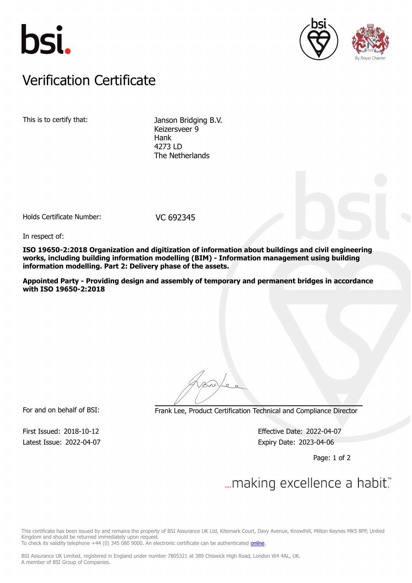





## Verification Certificate Verification Certificate

This is to certify that: Janson Bridging B.V. Keizersveer 9 Hank 4273 LD The Netherlands

Holds Certificate Number: VC 692345

In respect of:

**ISO 19650-2:2018 Organization and digitization of information about buildings and civil engineering works, including building information modelling (BIM) - Information management using building information modelling. Part 2: Delivery phase of the assets.**

**Appointed Party - Providing design and assembly of temporary and permanent bridges in accordance with ISO 19650-2:2018**

For and on behalf of BSI: Frank Lee, Product Certification Technical and Compliance Director

Latest Issue: 2022-04-07 Expiry Date: 2023-04-06

First Issued: 2018-10-12 Effective Date: 2022-04-07

Page: 1 of 2

## ... making excellence a habit."

This certificate has been issued by and remains the property of BSI Assurance UK Ltd, Kitemark Court, Davy Avenue, Knowlhill, Milton Keynes MK5 8PP, United Kingdom and should be returned immediately upon request.

To check its validity telephone +44 (0) 345 080 9000. An electronic certificate can be authenticated [online](https://pgplus.bsigroup.com/CertificateValidation/CertificateValidator.aspx?CertificateNumber=VC+692345&ReIssueDate=07%2f04%2f2022&Template=uk).

BSI Assurance UK Limited, registered in England under number 7805321 at 389 Chiswick High Road, London W4 4AL, UK. A member of BSI Group of Companies.